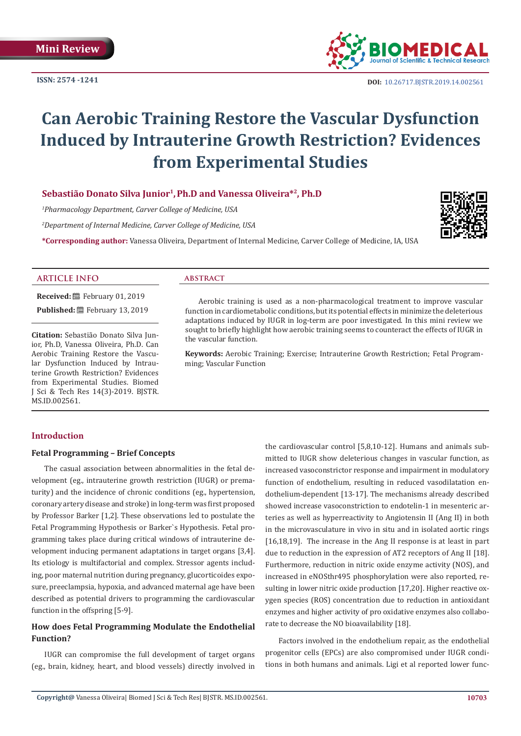**ISSN: 2574 -1241**



**DOI:** [10.26717.BJSTR.2019.14.0025](http://dx.doi.org/10.26717/BJSTR.2019.14.002561)61

# **Can Aerobic Training Restore the Vascular Dysfunction Induced by Intrauterine Growth Restriction? Evidences from Experimental Studies**

# **Sebastião Donato Silva Junior1,Ph.D and Vanessa Oliveira\*2, Ph.D**

*1 Pharmacology Department, Carver College of Medicine, USA*

*2 Department of Internal Medicine, Carver College of Medicine, USA*

**\*Corresponding author:** Vanessa Oliveira, Department of Internal Medicine, Carver College of Medicine, IA, USA



# **ARTICLE INFO abstract**

**Received:** February 01, 2019 Published: **■**February 13, 2019

**Citation:** Sebastião Donato Silva Junior, Ph.D, Vanessa Oliveira, Ph.D. Can Aerobic Training Restore the Vascular Dysfunction Induced by Intrauterine Growth Restriction? Evidences from Experimental Studies. Biomed J Sci & Tech Res 14(3)-2019. BJSTR. MS.ID.002561.

Aerobic training is used as a non-pharmacological treatment to improve vascular function in cardiometabolic conditions, but its potential effects in minimize the deleterious adaptations induced by IUGR in log-term are poor investigated. In this mini review we sought to briefly highlight how aerobic training seems to counteract the effects of IUGR in the vascular function.

**Keywords:** Aerobic Training; Exercise; Intrauterine Growth Restriction; Fetal Programming; Vascular Function

# **Introduction**

# **Fetal Programming – Brief Concepts**

The casual association between abnormalities in the fetal development (eg., intrauterine growth restriction (IUGR) or prematurity) and the incidence of chronic conditions (eg., hypertension, coronary artery disease and stroke) in long-term was first proposed by Professor Barker [1,2]. These observations led to postulate the Fetal Programming Hypothesis or Barker`s Hypothesis. Fetal programming takes place during critical windows of intrauterine development inducing permanent adaptations in target organs [3,4]. Its etiology is multifactorial and complex. Stressor agents including, poor maternal nutrition during pregnancy, glucorticoides exposure, preeclampsia, hypoxia, and advanced maternal age have been described as potential drivers to programming the cardiovascular function in the offspring [5-9].

# **How does Fetal Programming Modulate the Endothelial Function?**

IUGR can compromise the full development of target organs (eg., brain, kidney, heart, and blood vessels) directly involved in

the cardiovascular control [5,8,10-12]. Humans and animals submitted to IUGR show deleterious changes in vascular function, as increased vasoconstrictor response and impairment in modulatory function of endothelium, resulting in reduced vasodilatation endothelium-dependent [13-17]. The mechanisms already described showed increase vasoconstriction to endotelin-1 in mesenteric arteries as well as hyperreactivity to Angiotensin II (Ang II) in both in the microvasculature in vivo in situ and in isolated aortic rings [16,18,19]. The increase in the Ang II response is at least in part due to reduction in the expression of AT2 receptors of Ang II [18]. Furthermore, reduction in nitric oxide enzyme activity (NOS), and increased in eNOSthr495 phosphorylation were also reported, resulting in lower nitric oxide production [17,20]. Higher reactive oxygen species (ROS) concentration due to reduction in antioxidant enzymes and higher activity of pro oxidative enzymes also collaborate to decrease the NO bioavailability [18].

Factors involved in the endothelium repair, as the endothelial progenitor cells (EPCs) are also compromised under IUGR conditions in both humans and animals. Ligi et al reported lower func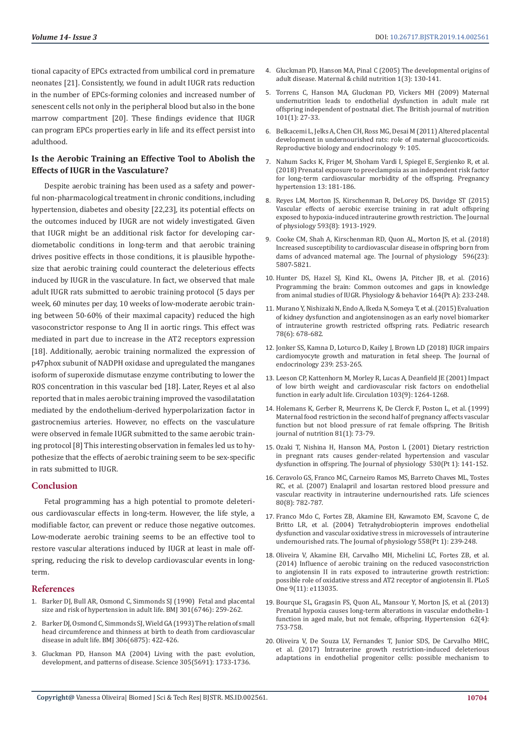tional capacity of EPCs extracted from umbilical cord in premature neonates [21]. Consistently, we found in adult IUGR rats reduction in the number of EPCs-forming colonies and increased number of senescent cells not only in the peripheral blood but also in the bone marrow compartment [20]. These findings evidence that IUGR can program EPCs properties early in life and its effect persist into adulthood.

# **Is the Aerobic Training an Effective Tool to Abolish the Effects of IUGR in the Vasculature?**

Despite aerobic training has been used as a safety and powerful non-pharmacological treatment in chronic conditions, including hypertension, diabetes and obesity [22,23], its potential effects on the outcomes induced by IUGR are not widely investigated. Given that IUGR might be an additional risk factor for developing cardiometabolic conditions in long-term and that aerobic training drives positive effects in those conditions, it is plausible hypothesize that aerobic training could counteract the deleterious effects induced by IUGR in the vasculature. In fact, we observed that male adult IUGR rats submitted to aerobic training protocol (5 days per week, 60 minutes per day, 10 weeks of low-moderate aerobic training between 50-60% of their maximal capacity) reduced the high vasoconstrictor response to Ang II in aortic rings. This effect was mediated in part due to increase in the AT2 receptors expression [18]. Additionally, aerobic training normalized the expression of p47phox subunit of NADPH oxidase and upregulated the manganes isoform of superoxide dismutase enzyme contributing to lower the ROS concentration in this vascular bed [18]. Later, Reyes et al also reported that in males aerobic training improved the vasodilatation mediated by the endothelium-derived hyperpolarization factor in gastrocnemius arteries. However, no effects on the vasculature were observed in female IUGR submitted to the same aerobic training protocol [8] This interesting observation in females led us to hypothesize that the effects of aerobic training seem to be sex-specific in rats submitted to IUGR.

## **Conclusion**

Fetal programming has a high potential to promote deleterious cardiovascular effects in long-term. However, the life style, a modifiable factor, can prevent or reduce those negative outcomes. Low-moderate aerobic training seems to be an effective tool to restore vascular alterations induced by IUGR at least in male offspring, reducing the risk to develop cardiovascular events in longterm.

## **References**

- 1. [Barker DJ, Bull AR, Osmond C, Simmonds SJ \(1990\) Fetal and placental](https://www.ncbi.nlm.nih.gov/pubmed/2390618)  [size and risk of hypertension in adult life. BMJ 301\(6746\): 259-262.](https://www.ncbi.nlm.nih.gov/pubmed/2390618)
- 2. Barker DJ, Osmond C, Simmonds SJ, Wield GA (1993) The relation of small [head circumference and thinness at birth to death from cardiovascular](https://www.ncbi.nlm.nih.gov/pmc/articles/PMC1676496/)  [disease in adult life. BMJ 306\(6875\): 422-426.](https://www.ncbi.nlm.nih.gov/pmc/articles/PMC1676496/)
- 3. [Gluckman PD, Hanson MA \(2004\) Living with the past: evolution,](https://www.ncbi.nlm.nih.gov/pubmed/15375258)  [development, and patterns of disease. Science 305\(5691\): 1733-1736.](https://www.ncbi.nlm.nih.gov/pubmed/15375258)
- 4. [Gluckman PD, Hanson MA, Pinal C \(2005\) The developmental origins of](https://www.ncbi.nlm.nih.gov/pubmed/16881892) [adult disease. Maternal & child nutrition 1\(3\): 130-141.](https://www.ncbi.nlm.nih.gov/pubmed/16881892)
- 5. [Torrens C, Hanson MA, Gluckman PD, Vickers MH \(2009\) Maternal](https://www.ncbi.nlm.nih.gov/pubmed/18492297) [undernutrition leads to endothelial dysfunction in adult male rat](https://www.ncbi.nlm.nih.gov/pubmed/18492297) [offspring independent of postnatal diet. The British journal of nutrition](https://www.ncbi.nlm.nih.gov/pubmed/18492297) [101\(1\): 27-33.](https://www.ncbi.nlm.nih.gov/pubmed/18492297)
- 6. [Belkacemi L, Jelks A, Chen CH, Ross MG, Desai M \(2011\) Altered placental](https://www.ncbi.nlm.nih.gov/pubmed/21806804) [development in undernourished rats: role of maternal glucocorticoids.](https://www.ncbi.nlm.nih.gov/pubmed/21806804) [Reproductive biology and endocrinology 9: 105.](https://www.ncbi.nlm.nih.gov/pubmed/21806804)
- 7. [Nahum Sacks K, Friger M, Shoham Vardi I, Spiegel E, Sergienko R, et al.](https://www.ncbi.nlm.nih.gov/pubmed/30177050) [\(2018\) Prenatal exposure to preeclampsia as an independent risk factor](https://www.ncbi.nlm.nih.gov/pubmed/30177050) [for long-term cardiovascular morbidity of the offspring. Pregnancy](https://www.ncbi.nlm.nih.gov/pubmed/30177050) [hypertension 13: 181-186.](https://www.ncbi.nlm.nih.gov/pubmed/30177050)
- 8. [Reyes LM, Morton JS, Kirschenman R, DeLorey DS, Davidge ST \(2015\)](https://www.ncbi.nlm.nih.gov/pubmed/25616117) [Vascular effects of aerobic exercise training in rat adult offspring](https://www.ncbi.nlm.nih.gov/pubmed/25616117) [exposed to hypoxia-induced intrauterine growth restriction. The Journal](https://www.ncbi.nlm.nih.gov/pubmed/25616117) [of physiology 593\(8\): 1913-1929.](https://www.ncbi.nlm.nih.gov/pubmed/25616117)
- 9. [Cooke CM, Shah A, Kirschenman RD, Quon AL, Morton JS, et al. \(2018\)](https://www.ncbi.nlm.nih.gov/pubmed/29882308) [Increased susceptibility to cardiovascular disease in offspring born from](https://www.ncbi.nlm.nih.gov/pubmed/29882308) [dams of advanced maternal age. The Journal of physiology 596\(23\):](https://www.ncbi.nlm.nih.gov/pubmed/29882308) [5807-5821.](https://www.ncbi.nlm.nih.gov/pubmed/29882308)
- 10. [Hunter DS, Hazel SJ, Kind KL, Owens JA, Pitcher JB, et al. \(2016\)](https://www.ncbi.nlm.nih.gov/pubmed/27288225) [Programming the brain: Common outcomes and gaps in knowledge](https://www.ncbi.nlm.nih.gov/pubmed/27288225) [from animal studies of IUGR. Physiology & behavior 164\(Pt A\): 233-248.](https://www.ncbi.nlm.nih.gov/pubmed/27288225)
- 11. [Murano Y, Nishizaki N, Endo A, Ikeda N, Someya T, et al. \(2015\) Evaluation](https://www.ncbi.nlm.nih.gov/pubmed/26270574) [of kidney dysfunction and angiotensinogen as an early novel biomarker](https://www.ncbi.nlm.nih.gov/pubmed/26270574) [of intrauterine growth restricted offspring rats. Pediatric research](https://www.ncbi.nlm.nih.gov/pubmed/26270574) [78\(6\): 678-682.](https://www.ncbi.nlm.nih.gov/pubmed/26270574)
- 12. [Jonker SS, Kamna D, Loturco D, Kailey J, Brown LD \(2018\) IUGR impairs](https://www.ncbi.nlm.nih.gov/pubmed/30143557) [cardiomyocyte growth and maturation in fetal sheep. The Journal of](https://www.ncbi.nlm.nih.gov/pubmed/30143557) [endocrinology 239: 253-265.](https://www.ncbi.nlm.nih.gov/pubmed/30143557)
- 13. [Leeson CP, Kattenhorn M, Morley R, Lucas A, Deanfield JE \(2001\) Impact](https://www.ncbi.nlm.nih.gov/pubmed/11238271) [of low birth weight and cardiovascular risk factors on endothelial](https://www.ncbi.nlm.nih.gov/pubmed/11238271) [function in early adult life. Circulation 103\(9\): 1264-1268.](https://www.ncbi.nlm.nih.gov/pubmed/11238271)
- 14. [Holemans K, Gerber R, Meurrens K, De Clerck F, Poston L, et al. \(1999\)](https://www.ncbi.nlm.nih.gov/pubmed/10341679) [Maternal food restriction in the second half of pregnancy affects vascular](https://www.ncbi.nlm.nih.gov/pubmed/10341679) [function but not blood pressure of rat female offspring. The British](https://www.ncbi.nlm.nih.gov/pubmed/10341679) [journal of nutrition 81\(1\): 73-79.](https://www.ncbi.nlm.nih.gov/pubmed/10341679)
- 15. [Ozaki T, Nishina H, Hanson MA, Poston L \(2001\) Dietary restriction](https://www.ncbi.nlm.nih.gov/pubmed/11136866) [in pregnant rats causes gender-related hypertension and vascular](https://www.ncbi.nlm.nih.gov/pubmed/11136866) [dysfunction in offspring. The Journal of physiology 530\(Pt 1\): 141-152.](https://www.ncbi.nlm.nih.gov/pubmed/11136866)
- 16. [Ceravolo GS, Franco MC, Carneiro Ramos MS, Barreto Chaves ML, Tostes](https://www.ncbi.nlm.nih.gov/pubmed/17161436) [RC, et al. \(2007\) Enalapril and losartan restored blood pressure and](https://www.ncbi.nlm.nih.gov/pubmed/17161436) [vascular reactivity in intrauterine undernourished rats. Life sciences](https://www.ncbi.nlm.nih.gov/pubmed/17161436) [80\(8\): 782-787.](https://www.ncbi.nlm.nih.gov/pubmed/17161436)
- 17. [Franco Mdo C, Fortes ZB, Akamine EH, Kawamoto EM, Scavone C, de](https://www.ncbi.nlm.nih.gov/pmc/articles/PMC1664908/) [Britto LR, et al. \(2004\) Tetrahydrobiopterin improves endothelial](https://www.ncbi.nlm.nih.gov/pmc/articles/PMC1664908/) [dysfunction and vascular oxidative stress in microvessels of intrauterine](https://www.ncbi.nlm.nih.gov/pmc/articles/PMC1664908/) [undernourished rats. The Journal of physiology 558\(Pt 1\): 239-248.](https://www.ncbi.nlm.nih.gov/pmc/articles/PMC1664908/)
- 18. [Oliveira V, Akamine EH, Carvalho MH, Michelini LC, Fortes ZB, et al.](https://www.semanticscholar.org/paper/Influence-of-Aerobic-Training-on-the-Reduced-to-II-Oliveira-Akamine/08e64b3febede3cd00e090e11ed9b15d3d4a0472) [\(2014\) Influence of aerobic training on the reduced vasoconstriction](https://www.semanticscholar.org/paper/Influence-of-Aerobic-Training-on-the-Reduced-to-II-Oliveira-Akamine/08e64b3febede3cd00e090e11ed9b15d3d4a0472) [to angiotensin II in rats exposed to intrauterine growth restriction:](https://www.semanticscholar.org/paper/Influence-of-Aerobic-Training-on-the-Reduced-to-II-Oliveira-Akamine/08e64b3febede3cd00e090e11ed9b15d3d4a0472) [possible role of oxidative stress and AT2 receptor of angiotensin II. PLoS](https://www.semanticscholar.org/paper/Influence-of-Aerobic-Training-on-the-Reduced-to-II-Oliveira-Akamine/08e64b3febede3cd00e090e11ed9b15d3d4a0472) [One 9\(11\): e113035.](https://www.semanticscholar.org/paper/Influence-of-Aerobic-Training-on-the-Reduced-to-II-Oliveira-Akamine/08e64b3febede3cd00e090e11ed9b15d3d4a0472)
- 19. [Bourque SL, Gragasin FS, Quon AL, Mansour Y, Morton JS, et al. \(2013\)](https://www.ncbi.nlm.nih.gov/pubmed/23940196) [Prenatal hypoxia causes long-term alterations in vascular endothelin-1](https://www.ncbi.nlm.nih.gov/pubmed/23940196) [function in aged male, but not female, offspring. Hypertension 62\(4\):](https://www.ncbi.nlm.nih.gov/pubmed/23940196) [753-758.](https://www.ncbi.nlm.nih.gov/pubmed/23940196)
- 20. [Oliveira V, De Souza LV, Fernandes T, Junior SDS, De Carvalho MHC,](https://www.ncbi.nlm.nih.gov/pubmed/28689502) [et al. \(2017\) Intrauterine growth restriction-induced deleterious](https://www.ncbi.nlm.nih.gov/pubmed/28689502) [adaptations in endothelial progenitor cells: possible mechanism to](https://www.ncbi.nlm.nih.gov/pubmed/28689502)